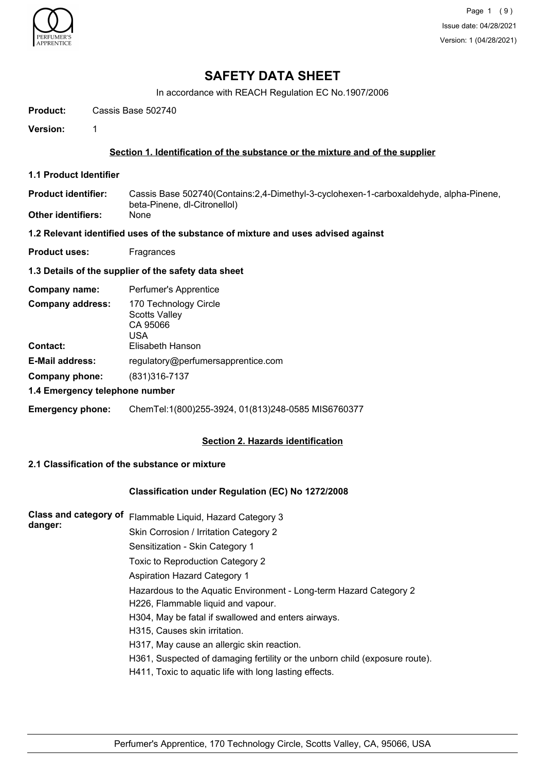

# **SAFETY DATA SHEET**

In accordance with REACH Regulation EC No.1907/2006

**Product:** Cassis Base 502740

**Version:** 1

#### **Section 1. Identification of the substance or the mixture and of the supplier**

**1.1 Product Identifier**

Cassis Base 502740(Contains:2,4-Dimethyl-3-cyclohexen-1-carboxaldehyde, alpha-Pinene, beta-Pinene, dl-Citronellol) **Product identifier: Other identifiers:** None

- **1.2 Relevant identified uses of the substance of mixture and uses advised against**
- **Product uses:** Fragrances

#### **1.3 Details of the supplier of the safety data sheet**

| Company name:                  | Perfumer's Apprentice                                            |  |
|--------------------------------|------------------------------------------------------------------|--|
| <b>Company address:</b>        | 170 Technology Circle<br><b>Scotts Valley</b><br>CA 95066<br>USA |  |
| <b>Contact:</b>                | Elisabeth Hanson                                                 |  |
| <b>E-Mail address:</b>         | regulatory@perfumersapprentice.com                               |  |
| Company phone:                 | (831) 316-7137                                                   |  |
| 1.4 Emergency telephone number |                                                                  |  |

# **Emergency phone:** ChemTel:1(800)255-3924, 01(813)248-0585 MIS6760377

#### **Section 2. Hazards identification**

#### **2.1 Classification of the substance or mixture**

#### **Classification under Regulation (EC) No 1272/2008**

| <b>Class and category of</b><br>danger: | Flammable Liquid, Hazard Category 3                                         |
|-----------------------------------------|-----------------------------------------------------------------------------|
|                                         | Skin Corrosion / Irritation Category 2                                      |
|                                         | Sensitization - Skin Category 1                                             |
|                                         | Toxic to Reproduction Category 2                                            |
|                                         | <b>Aspiration Hazard Category 1</b>                                         |
|                                         | Hazardous to the Aquatic Environment - Long-term Hazard Category 2          |
|                                         | H226, Flammable liquid and vapour.                                          |
|                                         | H304, May be fatal if swallowed and enters airways.                         |
|                                         | H315, Causes skin irritation.                                               |
|                                         | H317, May cause an allergic skin reaction.                                  |
|                                         | H361, Suspected of damaging fertility or the unborn child (exposure route). |
|                                         | H411, Toxic to aguatic life with long lasting effects.                      |
|                                         |                                                                             |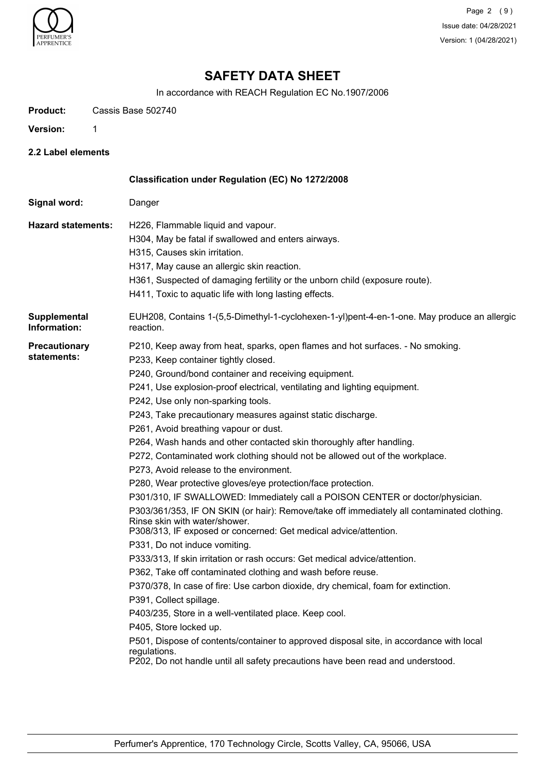

Page 2 (9) Issue date: 04/28/2021 Version: 1 (04/28/2021)

# **SAFETY DATA SHEET**

In accordance with REACH Regulation EC No.1907/2006

**Product:** Cassis Base 502740

**Version:** 1

**2.2 Label elements**

|                                     | Classification under Regulation (EC) No 1272/2008                                                                                                                                                                                                                                                                                                                                                                                                                                                                                                                                                                                                                                                                                                                                                                                                                                                                                                                                                                                                                                                                                                                                                                                                                                                                                                                                                                                                                                                                                                |
|-------------------------------------|--------------------------------------------------------------------------------------------------------------------------------------------------------------------------------------------------------------------------------------------------------------------------------------------------------------------------------------------------------------------------------------------------------------------------------------------------------------------------------------------------------------------------------------------------------------------------------------------------------------------------------------------------------------------------------------------------------------------------------------------------------------------------------------------------------------------------------------------------------------------------------------------------------------------------------------------------------------------------------------------------------------------------------------------------------------------------------------------------------------------------------------------------------------------------------------------------------------------------------------------------------------------------------------------------------------------------------------------------------------------------------------------------------------------------------------------------------------------------------------------------------------------------------------------------|
| Signal word:                        | Danger                                                                                                                                                                                                                                                                                                                                                                                                                                                                                                                                                                                                                                                                                                                                                                                                                                                                                                                                                                                                                                                                                                                                                                                                                                                                                                                                                                                                                                                                                                                                           |
| <b>Hazard statements:</b>           | H226, Flammable liquid and vapour.<br>H304, May be fatal if swallowed and enters airways.<br>H315, Causes skin irritation.<br>H317, May cause an allergic skin reaction.<br>H361, Suspected of damaging fertility or the unborn child (exposure route).<br>H411, Toxic to aquatic life with long lasting effects.                                                                                                                                                                                                                                                                                                                                                                                                                                                                                                                                                                                                                                                                                                                                                                                                                                                                                                                                                                                                                                                                                                                                                                                                                                |
| Supplemental<br>Information:        | EUH208, Contains 1-(5,5-Dimethyl-1-cyclohexen-1-yl)pent-4-en-1-one. May produce an allergic<br>reaction.                                                                                                                                                                                                                                                                                                                                                                                                                                                                                                                                                                                                                                                                                                                                                                                                                                                                                                                                                                                                                                                                                                                                                                                                                                                                                                                                                                                                                                         |
| <b>Precautionary</b><br>statements: | P210, Keep away from heat, sparks, open flames and hot surfaces. - No smoking.<br>P233, Keep container tightly closed.<br>P240, Ground/bond container and receiving equipment.<br>P241, Use explosion-proof electrical, ventilating and lighting equipment.<br>P242, Use only non-sparking tools.<br>P243, Take precautionary measures against static discharge.<br>P261, Avoid breathing vapour or dust.<br>P264, Wash hands and other contacted skin thoroughly after handling.<br>P272, Contaminated work clothing should not be allowed out of the workplace.<br>P273, Avoid release to the environment.<br>P280, Wear protective gloves/eye protection/face protection.<br>P301/310, IF SWALLOWED: Immediately call a POISON CENTER or doctor/physician.<br>P303/361/353, IF ON SKIN (or hair): Remove/take off immediately all contaminated clothing.<br>Rinse skin with water/shower.<br>P308/313, IF exposed or concerned: Get medical advice/attention.<br>P331, Do not induce vomiting.<br>P333/313, If skin irritation or rash occurs: Get medical advice/attention.<br>P362, Take off contaminated clothing and wash before reuse.<br>P370/378, In case of fire: Use carbon dioxide, dry chemical, foam for extinction.<br>P391, Collect spillage.<br>P403/235, Store in a well-ventilated place. Keep cool.<br>P405, Store locked up.<br>P501, Dispose of contents/container to approved disposal site, in accordance with local<br>regulations.<br>P202, Do not handle until all safety precautions have been read and understood. |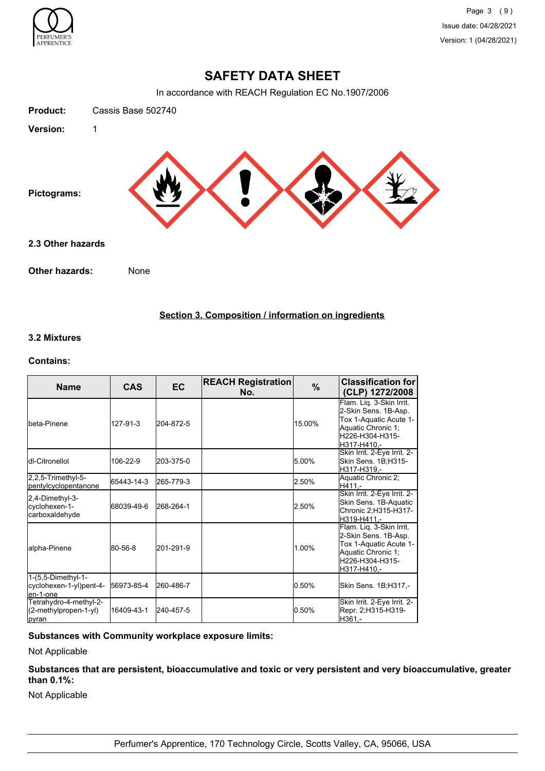

# **SAFETY DATA SHEET**

In accordance with REACH Regulation EC No.1907/2006



## **Section 3. Composition / information on ingredients**

# **3.2 Mixtures**

#### **Contains:**

| <b>Name</b>                                                | <b>CAS</b> | <b>EC</b> | <b>REACH Registration</b><br>No. | $\%$   | <b>Classification for</b><br>(CLP) 1272/2008                                                                                       |
|------------------------------------------------------------|------------|-----------|----------------------------------|--------|------------------------------------------------------------------------------------------------------------------------------------|
| <b>I</b> beta-Pinene                                       | 127-91-3   | 204-872-5 |                                  | 15.00% | Flam. Liq. 3-Skin Irrit.<br>2-Skin Sens. 1B-Asp.<br>Tox 1-Aquatic Acute 1-<br>Aquatic Chronic 1;<br>H226-H304-H315-<br>H317-H410.- |
| dl-Citronellol                                             | 106-22-9   | 203-375-0 |                                  | 5.00%  | Skin Irrit. 2-Eye Irrit. 2-<br>Skin Sens. 1B:H315-<br>H317-H319.-                                                                  |
| 2,2,5-Trimethyl-5-<br>pentylcyclopentanone                 | 65443-14-3 | 265-779-3 |                                  | 2.50%  | Aquatic Chronic 2;<br>H411,-                                                                                                       |
| 2,4-Dimethyl-3-<br>cyclohexen-1-<br>carboxaldehyde         | 68039-49-6 | 268-264-1 |                                  | 2.50%  | Skin Irrit. 2-Eye Irrit. 2-<br>Skin Sens. 1B-Aquatic<br>Chronic 2;H315-H317-<br>H319-H411,-                                        |
| alpha-Pinene                                               | 80-56-8    | 201-291-9 |                                  | 1.00%  | Flam. Liq. 3-Skin Irrit.<br>2-Skin Sens. 1B-Asp.<br>Tox 1-Aquatic Acute 1-<br>Aquatic Chronic 1;<br>H226-H304-H315-<br>H317-H410.- |
| 1-(5,5-Dimethyl-1-<br>cyclohexen-1-yl)pent-4-<br>len-1-one | 56973-85-4 | 260-486-7 |                                  | 0.50%  | Skin Sens. 1B;H317,-                                                                                                               |
| Tetrahydro-4-methyl-2-<br>(2-methylpropen-1-yl)<br>pyran   | 16409-43-1 | 240-457-5 |                                  | 0.50%  | Skin Irrit. 2-Eye Irrit. 2-<br>Repr. 2;H315-H319-<br>lH361.-                                                                       |

# **Substances with Community workplace exposure limits:**

Not Applicable

**Substances that are persistent, bioaccumulative and toxic or very persistent and very bioaccumulative, greater than 0.1%:**

Not Applicable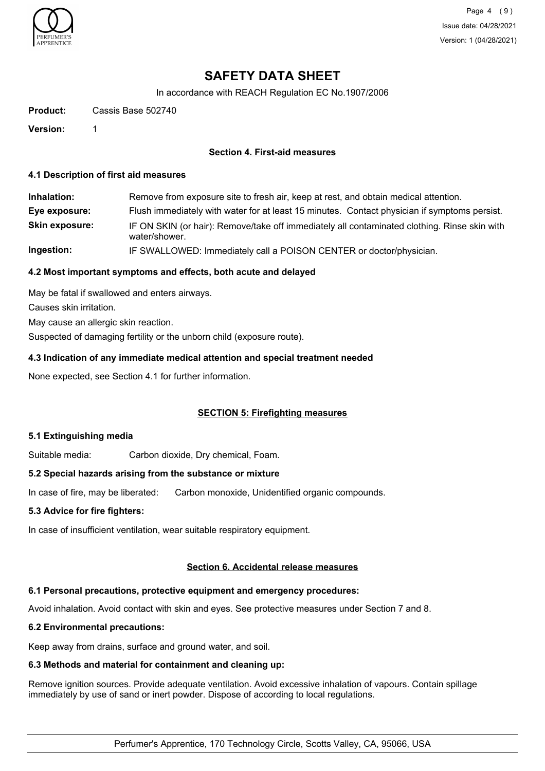

Page 4 (9) Issue date: 04/28/2021 Version: 1 (04/28/2021)

# **SAFETY DATA SHEET**

In accordance with REACH Regulation EC No.1907/2006

**Product:** Cassis Base 502740

**Version:** 1

#### **Section 4. First-aid measures**

#### **4.1 Description of first aid measures**

| Inhalation:           | Remove from exposure site to fresh air, keep at rest, and obtain medical attention.                           |
|-----------------------|---------------------------------------------------------------------------------------------------------------|
| Eye exposure:         | Flush immediately with water for at least 15 minutes. Contact physician if symptoms persist.                  |
| <b>Skin exposure:</b> | IF ON SKIN (or hair): Remove/take off immediately all contaminated clothing. Rinse skin with<br>water/shower. |
| Ingestion:            | IF SWALLOWED: Immediately call a POISON CENTER or doctor/physician.                                           |

#### **4.2 Most important symptoms and effects, both acute and delayed**

May be fatal if swallowed and enters airways.

Causes skin irritation.

May cause an allergic skin reaction.

Suspected of damaging fertility or the unborn child (exposure route).

# **4.3 Indication of any immediate medical attention and special treatment needed**

None expected, see Section 4.1 for further information.

#### **SECTION 5: Firefighting measures**

#### **5.1 Extinguishing media**

Suitable media: Carbon dioxide, Dry chemical, Foam.

#### **5.2 Special hazards arising from the substance or mixture**

In case of fire, may be liberated: Carbon monoxide, Unidentified organic compounds.

#### **5.3 Advice for fire fighters:**

In case of insufficient ventilation, wear suitable respiratory equipment.

## **Section 6. Accidental release measures**

#### **6.1 Personal precautions, protective equipment and emergency procedures:**

Avoid inhalation. Avoid contact with skin and eyes. See protective measures under Section 7 and 8.

#### **6.2 Environmental precautions:**

Keep away from drains, surface and ground water, and soil.

# **6.3 Methods and material for containment and cleaning up:**

Remove ignition sources. Provide adequate ventilation. Avoid excessive inhalation of vapours. Contain spillage immediately by use of sand or inert powder. Dispose of according to local regulations.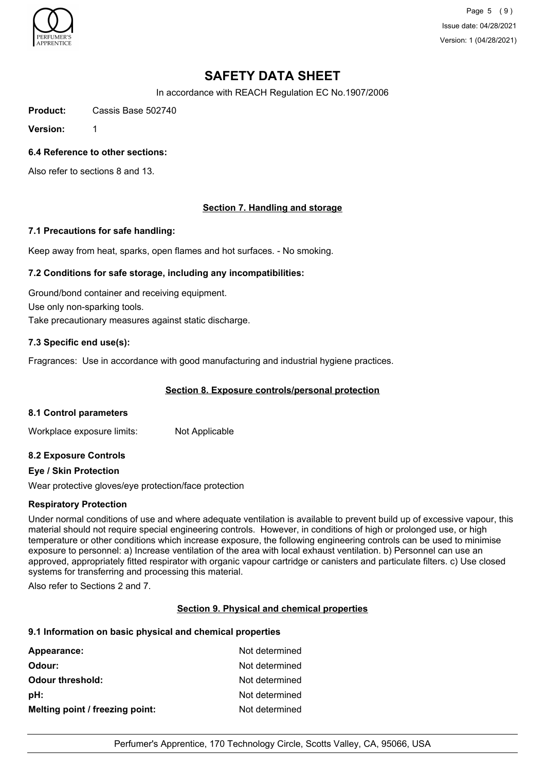

Page 5 (9) Issue date: 04/28/2021 Version: 1 (04/28/2021)

# **SAFETY DATA SHEET**

In accordance with REACH Regulation EC No.1907/2006

**Product:** Cassis Base 502740

**Version:** 1

#### **6.4 Reference to other sections:**

Also refer to sections 8 and 13.

## **Section 7. Handling and storage**

#### **7.1 Precautions for safe handling:**

Keep away from heat, sparks, open flames and hot surfaces. - No smoking.

#### **7.2 Conditions for safe storage, including any incompatibilities:**

Ground/bond container and receiving equipment. Use only non-sparking tools. Take precautionary measures against static discharge.

#### **7.3 Specific end use(s):**

Fragrances: Use in accordance with good manufacturing and industrial hygiene practices.

#### **Section 8. Exposure controls/personal protection**

#### **8.1 Control parameters**

Workplace exposure limits: Not Applicable

#### **8.2 Exposure Controls**

#### **Eye / Skin Protection**

Wear protective gloves/eye protection/face protection

#### **Respiratory Protection**

Under normal conditions of use and where adequate ventilation is available to prevent build up of excessive vapour, this material should not require special engineering controls. However, in conditions of high or prolonged use, or high temperature or other conditions which increase exposure, the following engineering controls can be used to minimise exposure to personnel: a) Increase ventilation of the area with local exhaust ventilation. b) Personnel can use an approved, appropriately fitted respirator with organic vapour cartridge or canisters and particulate filters. c) Use closed systems for transferring and processing this material.

Also refer to Sections 2 and 7.

#### **Section 9. Physical and chemical properties**

#### **9.1 Information on basic physical and chemical properties**

| Appearance:                     | Not determined |
|---------------------------------|----------------|
| Odour:                          | Not determined |
| <b>Odour threshold:</b>         | Not determined |
| pH:                             | Not determined |
| Melting point / freezing point: | Not determined |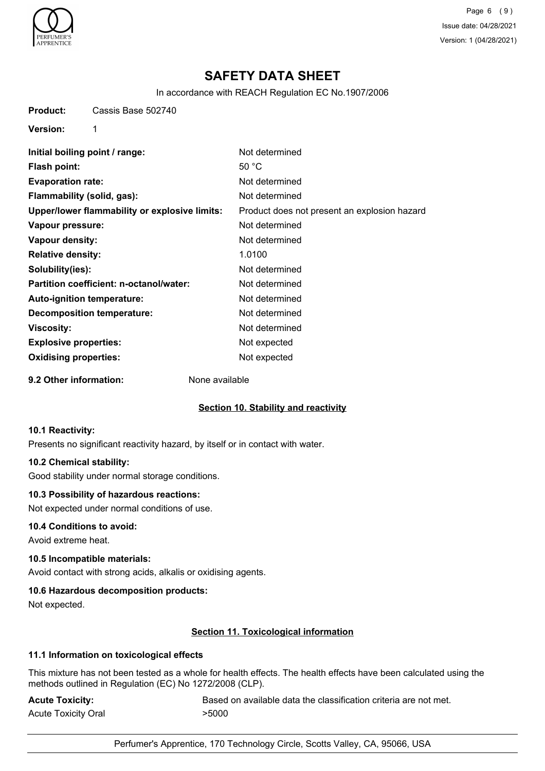

Page 6 (9) Issue date: 04/28/2021 Version: 1 (04/28/2021)

# **SAFETY DATA SHEET**

In accordance with REACH Regulation EC No.1907/2006

**Product:** Cassis Base 502740

**Version:** 1

| Initial boiling point / range:                | Not determined                               |
|-----------------------------------------------|----------------------------------------------|
| <b>Flash point:</b>                           | 50 $°C$                                      |
| <b>Evaporation rate:</b>                      | Not determined                               |
| Flammability (solid, gas):                    | Not determined                               |
| Upper/lower flammability or explosive limits: | Product does not present an explosion hazard |
| Vapour pressure:                              | Not determined                               |
| Vapour density:                               | Not determined                               |
| <b>Relative density:</b>                      | 1.0100                                       |
| Solubility(ies):                              | Not determined                               |
| Partition coefficient: n-octanol/water:       | Not determined                               |
| Auto-ignition temperature:                    | Not determined                               |
| <b>Decomposition temperature:</b>             | Not determined                               |
| Viscosity:                                    | Not determined                               |
| <b>Explosive properties:</b>                  | Not expected                                 |
| <b>Oxidising properties:</b>                  | Not expected                                 |
|                                               |                                              |

**9.2 Other information:** None available

# **Section 10. Stability and reactivity**

#### **10.1 Reactivity:**

Presents no significant reactivity hazard, by itself or in contact with water.

#### **10.2 Chemical stability:**

Good stability under normal storage conditions.

#### **10.3 Possibility of hazardous reactions:**

Not expected under normal conditions of use.

#### **10.4 Conditions to avoid:**

Avoid extreme heat.

# **10.5 Incompatible materials:**

Avoid contact with strong acids, alkalis or oxidising agents.

# **10.6 Hazardous decomposition products:**

Not expected.

# **Section 11. Toxicological information**

#### **11.1 Information on toxicological effects**

This mixture has not been tested as a whole for health effects. The health effects have been calculated using the methods outlined in Regulation (EC) No 1272/2008 (CLP).

Acute Toxicity Oral **2008** > 5000

Acute Toxicity: **Acute Toxicity:** Based on available data the classification criteria are not met.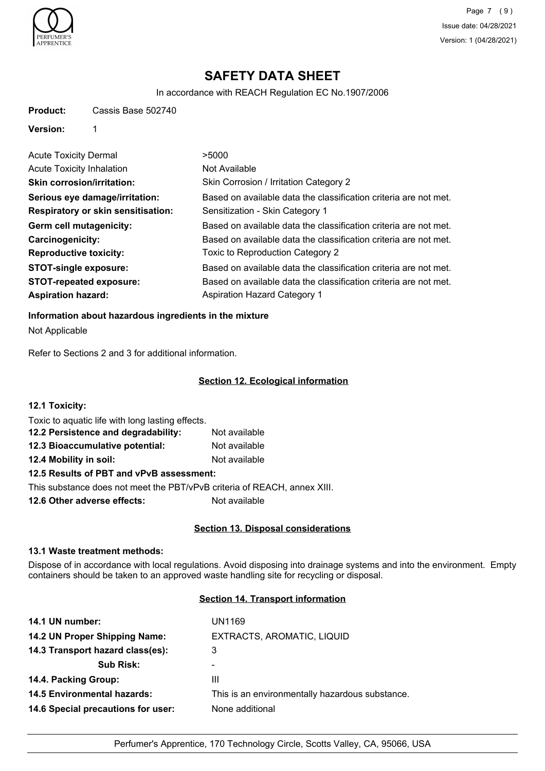

Page 7 (9) Issue date: 04/28/2021 Version: 1 (04/28/2021)

# **SAFETY DATA SHEET**

In accordance with REACH Regulation EC No.1907/2006

| Cassis Base 502740<br><b>Product:</b> |  |
|---------------------------------------|--|
|---------------------------------------|--|

**Version:** 1

| <b>Acute Toxicity Dermal</b>              | >5000                                                            |
|-------------------------------------------|------------------------------------------------------------------|
| <b>Acute Toxicity Inhalation</b>          | Not Available                                                    |
| <b>Skin corrosion/irritation:</b>         | Skin Corrosion / Irritation Category 2                           |
| Serious eye damage/irritation:            | Based on available data the classification criteria are not met. |
| <b>Respiratory or skin sensitisation:</b> | Sensitization - Skin Category 1                                  |
| Germ cell mutagenicity:                   | Based on available data the classification criteria are not met. |
| <b>Carcinogenicity:</b>                   | Based on available data the classification criteria are not met. |
| <b>Reproductive toxicity:</b>             | Toxic to Reproduction Category 2                                 |
| <b>STOT-single exposure:</b>              | Based on available data the classification criteria are not met. |
| <b>STOT-repeated exposure:</b>            | Based on available data the classification criteria are not met. |
| <b>Aspiration hazard:</b>                 | Aspiration Hazard Category 1                                     |

**Information about hazardous ingredients in the mixture**

Not Applicable

Refer to Sections 2 and 3 for additional information.

### **Section 12. Ecological information**

| 12.1 Toxicity:                                   |               |
|--------------------------------------------------|---------------|
| Toxic to aquatic life with long lasting effects. |               |
| 12.2 Persistence and degradability:              | Not available |
| 12.3 Bioaccumulative potential:                  | Not available |
| 12.4 Mobility in soil:                           | Not available |
| 12.5 Results of PBT and vPvB assessment:         |               |

This substance does not meet the PBT/vPvB criteria of REACH, annex XIII.

**12.6 Other adverse effects:** Not available

# **Section 13. Disposal considerations**

## **13.1 Waste treatment methods:**

Dispose of in accordance with local regulations. Avoid disposing into drainage systems and into the environment. Empty containers should be taken to an approved waste handling site for recycling or disposal.

## **Section 14. Transport information**

| UN1169                                          |
|-------------------------------------------------|
| EXTRACTS, AROMATIC, LIQUID                      |
| 3                                               |
| ۰                                               |
| Ш                                               |
| This is an environmentally hazardous substance. |
| None additional                                 |
|                                                 |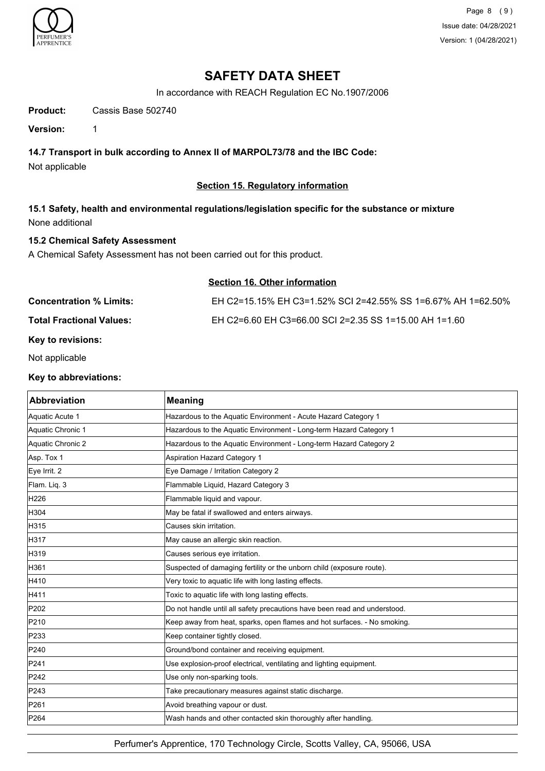

Page 8 (9) Issue date: 04/28/2021 Version: 1 (04/28/2021)

# **SAFETY DATA SHEET**

In accordance with REACH Regulation EC No.1907/2006

**Product:** Cassis Base 502740

**Version:** 1

## **14.7 Transport in bulk according to Annex II of MARPOL73/78 and the IBC Code:**

Not applicable

## **Section 15. Regulatory information**

**15.1 Safety, health and environmental regulations/legislation specific for the substance or mixture** None additional

## **15.2 Chemical Safety Assessment**

A Chemical Safety Assessment has not been carried out for this product.

| <b>Section 16. Other information</b> |                                                              |  |
|--------------------------------------|--------------------------------------------------------------|--|
| <b>Concentration % Limits:</b>       | EH C2=15.15% EH C3=1.52% SCI 2=42.55% SS 1=6.67% AH 1=62.50% |  |
| <b>Total Fractional Values:</b>      | EH C2=6.60 EH C3=66.00 SCI 2=2.35 SS 1=15.00 AH 1=1.60       |  |

**Key to revisions:**

Not applicable

#### **Key to abbreviations:**

| <b>Abbreviation</b> | <b>Meaning</b>                                                            |
|---------------------|---------------------------------------------------------------------------|
| Aquatic Acute 1     | Hazardous to the Aquatic Environment - Acute Hazard Category 1            |
| Aquatic Chronic 1   | Hazardous to the Aquatic Environment - Long-term Hazard Category 1        |
| Aquatic Chronic 2   | Hazardous to the Aquatic Environment - Long-term Hazard Category 2        |
| Asp. Tox 1          | <b>Aspiration Hazard Category 1</b>                                       |
| Eye Irrit. 2        | Eye Damage / Irritation Category 2                                        |
| Flam. Liq. 3        | Flammable Liquid, Hazard Category 3                                       |
| H226                | Flammable liquid and vapour.                                              |
| H304                | May be fatal if swallowed and enters airways.                             |
| H315                | Causes skin irritation.                                                   |
| H317                | May cause an allergic skin reaction.                                      |
| H319                | Causes serious eye irritation.                                            |
| H361                | Suspected of damaging fertility or the unborn child (exposure route).     |
| H410                | Very toxic to aquatic life with long lasting effects.                     |
| H411                | Toxic to aquatic life with long lasting effects.                          |
| P202                | Do not handle until all safety precautions have been read and understood. |
| P210                | Keep away from heat, sparks, open flames and hot surfaces. - No smoking.  |
| P233                | Keep container tightly closed.                                            |
| P240                | Ground/bond container and receiving equipment.                            |
| P241                | Use explosion-proof electrical, ventilating and lighting equipment.       |
| P242                | Use only non-sparking tools.                                              |
| P243                | Take precautionary measures against static discharge.                     |
| P261                | Avoid breathing vapour or dust.                                           |
| P264                | Wash hands and other contacted skin thoroughly after handling.            |